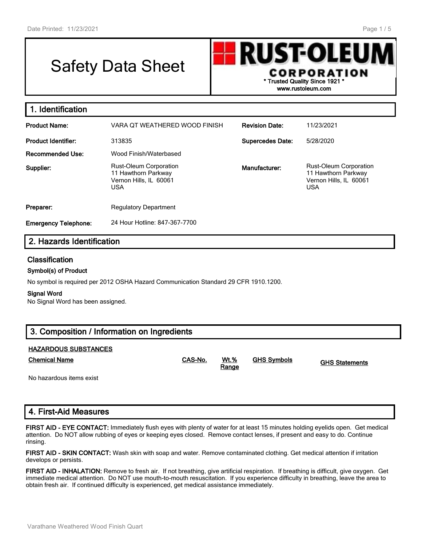# Safety Data Sheet

**RUST-OLEU** CORPORATION **\* Trusted Quality Since 1921 \* www.rustoleum.com**

| 1. Identification           |                                                                                              |                         |                                                                                              |
|-----------------------------|----------------------------------------------------------------------------------------------|-------------------------|----------------------------------------------------------------------------------------------|
| <b>Product Name:</b>        | VARA OT WEATHERED WOOD FINISH                                                                | <b>Revision Date:</b>   | 11/23/2021                                                                                   |
| <b>Product Identifier:</b>  | 313835                                                                                       | <b>Supercedes Date:</b> | 5/28/2020                                                                                    |
| <b>Recommended Use:</b>     | Wood Finish/Waterbased                                                                       |                         |                                                                                              |
| Supplier:                   | <b>Rust-Oleum Corporation</b><br>11 Hawthorn Parkway<br>Vernon Hills, IL 60061<br><b>USA</b> | Manufacturer:           | <b>Rust-Oleum Corporation</b><br>11 Hawthorn Parkway<br>Vernon Hills, IL 60061<br><b>USA</b> |
| Preparer:                   | <b>Regulatory Department</b>                                                                 |                         |                                                                                              |
| <b>Emergency Telephone:</b> | 24 Hour Hotline: 847-367-7700                                                                |                         |                                                                                              |

# **2. Hazards Identification**

#### **Classification**

#### **Symbol(s) of Product**

No symbol is required per 2012 OSHA Hazard Communication Standard 29 CFR 1910.1200.

#### **Signal Word**

No Signal Word has been assigned.

| 3. Composition / Information on Ingredients |         |                      |                    |                       |  |  |
|---------------------------------------------|---------|----------------------|--------------------|-----------------------|--|--|
| <b>HAZARDOUS SUBSTANCES</b>                 |         |                      |                    |                       |  |  |
| <b>Chemical Name</b>                        | CAS-No. | <u>Wt.%</u><br>Range | <b>GHS Symbols</b> | <b>GHS Statements</b> |  |  |
| No hazardous items exist                    |         |                      |                    |                       |  |  |

# **4. First-Aid Measures**

**FIRST AID - EYE CONTACT:** Immediately flush eyes with plenty of water for at least 15 minutes holding eyelids open. Get medical attention. Do NOT allow rubbing of eyes or keeping eyes closed. Remove contact lenses, if present and easy to do. Continue rinsing.

**FIRST AID - SKIN CONTACT:** Wash skin with soap and water. Remove contaminated clothing. Get medical attention if irritation develops or persists.

**FIRST AID - INHALATION:** Remove to fresh air. If not breathing, give artificial respiration. If breathing is difficult, give oxygen. Get immediate medical attention. Do NOT use mouth-to-mouth resuscitation. If you experience difficulty in breathing, leave the area to obtain fresh air. If continued difficulty is experienced, get medical assistance immediately.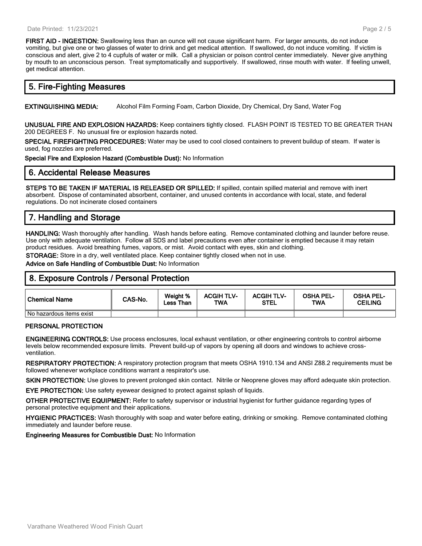**FIRST AID - INGESTION:** Swallowing less than an ounce will not cause significant harm. For larger amounts, do not induce vomiting, but give one or two glasses of water to drink and get medical attention. If swallowed, do not induce vomiting. If victim is conscious and alert, give 2 to 4 cupfuls of water or milk. Call a physician or poison control center immediately. Never give anything by mouth to an unconscious person. Treat symptomatically and supportively. If swallowed, rinse mouth with water. If feeling unwell, get medical attention.

# **5. Fire-Fighting Measures**

**EXTINGUISHING MEDIA:** Alcohol Film Forming Foam, Carbon Dioxide, Dry Chemical, Dry Sand, Water Fog

**UNUSUAL FIRE AND EXPLOSION HAZARDS:** Keep containers tightly closed. FLASH POINT IS TESTED TO BE GREATER THAN 200 DEGREES F. No unusual fire or explosion hazards noted.

**SPECIAL FIREFIGHTING PROCEDURES:** Water may be used to cool closed containers to prevent buildup of steam. If water is used, fog nozzles are preferred.

**Special Fire and Explosion Hazard (Combustible Dust):** No Information

#### **6. Accidental Release Measures**

**STEPS TO BE TAKEN IF MATERIAL IS RELEASED OR SPILLED:** If spilled, contain spilled material and remove with inert absorbent. Dispose of contaminated absorbent, container, and unused contents in accordance with local, state, and federal regulations. Do not incinerate closed containers

# **7. Handling and Storage**

**HANDLING:** Wash thoroughly after handling. Wash hands before eating. Remove contaminated clothing and launder before reuse. Use only with adequate ventilation. Follow all SDS and label precautions even after container is emptied because it may retain product residues. Avoid breathing fumes, vapors, or mist. Avoid contact with eyes, skin and clothing.

**STORAGE:** Store in a dry, well ventilated place. Keep container tightly closed when not in use.

**Advice on Safe Handling of Combustible Dust:** No Information

# **8. Exposure Controls / Personal Protection**

| l Chemical Name            | CAS-No. | Weight %<br><b>Less Than</b> | <b>ACGIH TLV-</b><br><b>TWA</b> | <b>ACGIH TLV-</b><br><b>STEL</b> | <b>OSHA PEL-</b><br><b>TWA</b> | <b>OSHA PEL-</b><br><b>CEILING</b> |
|----------------------------|---------|------------------------------|---------------------------------|----------------------------------|--------------------------------|------------------------------------|
| l No hazardous items exist |         |                              |                                 |                                  |                                |                                    |

#### **PERSONAL PROTECTION**

**ENGINEERING CONTROLS:** Use process enclosures, local exhaust ventilation, or other engineering controls to control airborne levels below recommended exposure limits. Prevent build-up of vapors by opening all doors and windows to achieve crossventilation.

**RESPIRATORY PROTECTION:** A respiratory protection program that meets OSHA 1910.134 and ANSI Z88.2 requirements must be followed whenever workplace conditions warrant a respirator's use.

**SKIN PROTECTION:** Use gloves to prevent prolonged skin contact. Nitrile or Neoprene gloves may afford adequate skin protection.

**EYE PROTECTION:** Use safety eyewear designed to protect against splash of liquids.

**OTHER PROTECTIVE EQUIPMENT:** Refer to safety supervisor or industrial hygienist for further guidance regarding types of personal protective equipment and their applications.

**HYGIENIC PRACTICES:** Wash thoroughly with soap and water before eating, drinking or smoking. Remove contaminated clothing immediately and launder before reuse.

**Engineering Measures for Combustible Dust:** No Information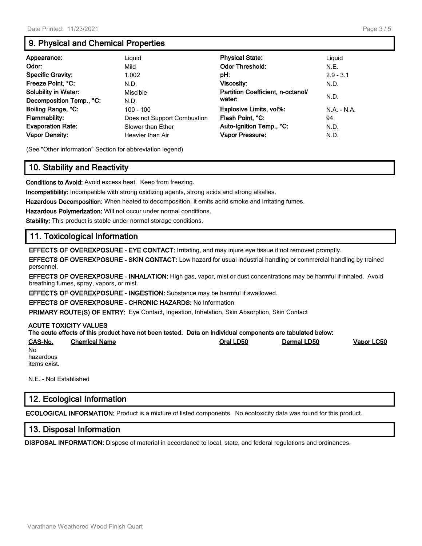# **9. Physical and Chemical Properties**

| Appearance:                 | Liguid                      | <b>Physical State:</b>            | Liguid        |
|-----------------------------|-----------------------------|-----------------------------------|---------------|
| Odor:                       | Mild                        | <b>Odor Threshold:</b>            | N.E.          |
| <b>Specific Gravity:</b>    | 1.002                       | pH:                               | $2.9 - 3.1$   |
| Freeze Point, °C:           | N.D.                        | Viscosity:                        | N.D.          |
| <b>Solubility in Water:</b> | Miscible                    | Partition Coefficient, n-octanol/ |               |
| Decomposition Temp., °C:    | N.D.                        | water:                            | N.D.          |
| Boiling Range, °C:          | $100 - 100$                 | Explosive Limits, vol%:           | $N.A. - N.A.$ |
| Flammability:               | Does not Support Combustion | Flash Point. °C:                  | 94            |
| <b>Evaporation Rate:</b>    | Slower than Ether           | Auto-Ignition Temp., °C:          | N.D.          |
| <b>Vapor Density:</b>       | Heavier than Air            | Vapor Pressure:                   | N.D.          |

(See "Other information" Section for abbreviation legend)

# **10. Stability and Reactivity**

**Conditions to Avoid:** Avoid excess heat. Keep from freezing.

**Incompatibility:** Incompatible with strong oxidizing agents, strong acids and strong alkalies.

**Hazardous Decomposition:** When heated to decomposition, it emits acrid smoke and irritating fumes.

**Hazardous Polymerization:** Will not occur under normal conditions.

**Stability:** This product is stable under normal storage conditions.

#### **11. Toxicological Information**

**EFFECTS OF OVEREXPOSURE - EYE CONTACT:** Irritating, and may injure eye tissue if not removed promptly.

**EFFECTS OF OVEREXPOSURE - SKIN CONTACT:** Low hazard for usual industrial handling or commercial handling by trained personnel.

**EFFECTS OF OVEREXPOSURE - INHALATION:** High gas, vapor, mist or dust concentrations may be harmful if inhaled. Avoid breathing fumes, spray, vapors, or mist.

**EFFECTS OF OVEREXPOSURE - INGESTION:** Substance may be harmful if swallowed.

**EFFECTS OF OVEREXPOSURE - CHRONIC HAZARDS:** No Information

**PRIMARY ROUTE(S) OF ENTRY:** Eye Contact, Ingestion, Inhalation, Skin Absorption, Skin Contact

#### **ACUTE TOXICITY VALUES**

|                           | The acute effects of this product have not been tested. Data on individual components are tabulated below: |           |             |            |
|---------------------------|------------------------------------------------------------------------------------------------------------|-----------|-------------|------------|
| CAS-No.                   | <b>Chemical Name</b>                                                                                       | Oral LD50 | Dermal LD50 | Vapor LC50 |
| <b>No</b>                 |                                                                                                            |           |             |            |
| hazardous<br>items exist. |                                                                                                            |           |             |            |
|                           |                                                                                                            |           |             |            |
|                           |                                                                                                            |           |             |            |

N.E. - Not Established

# **12. Ecological Information**

**ECOLOGICAL INFORMATION:** Product is a mixture of listed components. No ecotoxicity data was found for this product.

#### **13. Disposal Information**

**DISPOSAL INFORMATION:** Dispose of material in accordance to local, state, and federal regulations and ordinances.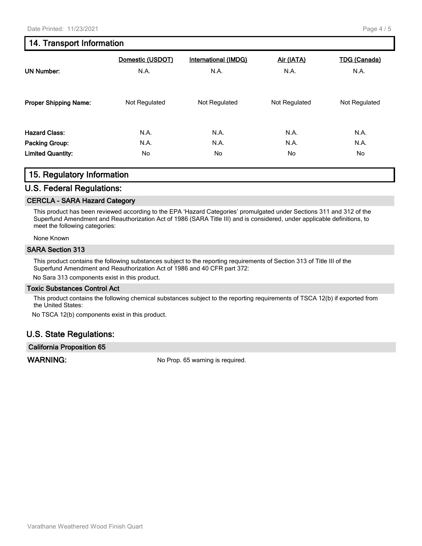# **14. Transport Information**

| <b>UN Number:</b>            | Domestic (USDOT)<br>N.A. | <b>International (IMDG)</b><br>N.A. | Air (IATA)<br>N.A. | <b>TDG (Canada)</b><br>N.A. |
|------------------------------|--------------------------|-------------------------------------|--------------------|-----------------------------|
| <b>Proper Shipping Name:</b> | Not Regulated            | Not Regulated                       | Not Regulated      | Not Regulated               |
| <b>Hazard Class:</b>         | N.A.                     | N.A.                                | N.A.               | N.A.                        |
| Packing Group:               | N.A.                     | N.A.                                | N.A.               | N.A.                        |
| <b>Limited Quantity:</b>     | No.                      | No.                                 | No.                | No.                         |

#### **15. Regulatory Information**

#### **U.S. Federal Regulations:**

#### **CERCLA - SARA Hazard Category**

This product has been reviewed according to the EPA 'Hazard Categories' promulgated under Sections 311 and 312 of the Superfund Amendment and Reauthorization Act of 1986 (SARA Title III) and is considered, under applicable definitions, to meet the following categories:

None Known

#### **SARA Section 313**

This product contains the following substances subject to the reporting requirements of Section 313 of Title III of the Superfund Amendment and Reauthorization Act of 1986 and 40 CFR part 372:

No Sara 313 components exist in this product.

#### **Toxic Substances Control Act**

This product contains the following chemical substances subject to the reporting requirements of TSCA 12(b) if exported from the United States:

No TSCA 12(b) components exist in this product.

#### **U.S. State Regulations:**

**California Proposition 65**

WARNING: WARNING: No Prop. 65 warning is required.